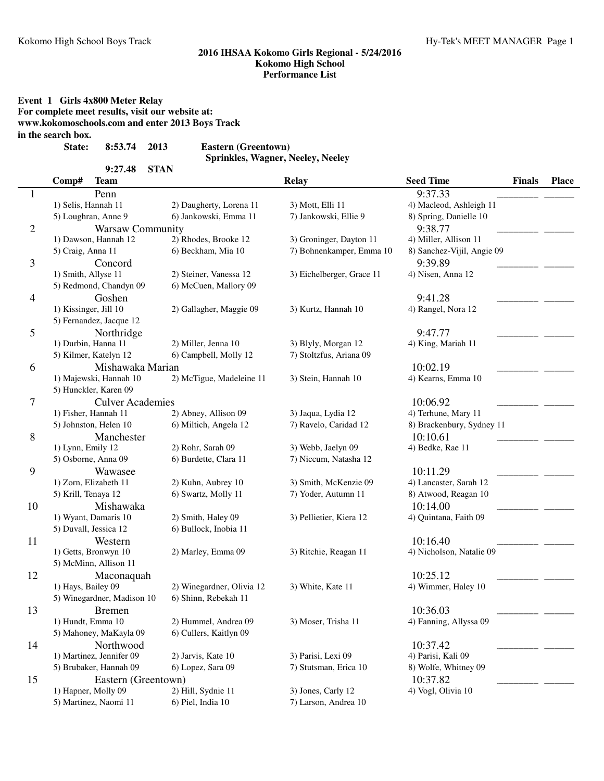**Event 1 Girls 4x800 Meter Relay For complete meet results, visit our website at: www.kokomoschools.com and enter 2013 Boys Track**

**in the search box.**

**State: 8:53.74 Eastern (Greentown) 2013**

**9:27.48 STAN**

**Sprinkles, Wagner, Neeley, Neeley**

|                | Comp#                 | <b>Team</b>                |                           | <b>Relay</b>              | <b>Seed Time</b>           | <b>Finals</b> | <b>Place</b> |
|----------------|-----------------------|----------------------------|---------------------------|---------------------------|----------------------------|---------------|--------------|
| 1              |                       | Penn                       |                           |                           | 9:37.33                    |               |              |
|                | 1) Selis, Hannah 11   |                            | 2) Daugherty, Lorena 11   | 3) Mott, Elli 11          | 4) Macleod, Ashleigh 11    |               |              |
|                |                       | 5) Loughran, Anne 9        | 6) Jankowski, Emma 11     | 7) Jankowski, Ellie 9     | 8) Spring, Danielle 10     |               |              |
| $\overline{2}$ |                       | <b>Warsaw Community</b>    |                           |                           | 9:38.77                    |               |              |
|                |                       | 1) Dawson, Hannah 12       | 2) Rhodes, Brooke 12      | 3) Groninger, Dayton 11   | 4) Miller, Allison 11      |               |              |
|                | 5) Craig, Anna 11     |                            | 6) Beckham, Mia 10        | 7) Bohnenkamper, Emma 10  | 8) Sanchez-Vijil, Angie 09 |               |              |
| 3              |                       | Concord                    |                           |                           | 9:39.89                    |               |              |
|                | 1) Smith, Allyse 11   |                            | 2) Steiner, Vanessa 12    | 3) Eichelberger, Grace 11 | 4) Nisen, Anna 12          |               |              |
|                |                       | 5) Redmond, Chandyn 09     | 6) McCuen, Mallory 09     |                           |                            |               |              |
| $\overline{4}$ |                       | Goshen                     |                           |                           | 9:41.28                    |               |              |
|                | 1) Kissinger, Jill 10 |                            | 2) Gallagher, Maggie 09   | 3) Kurtz, Hannah 10       | 4) Rangel, Nora 12         |               |              |
|                |                       | 5) Fernandez, Jacque 12    |                           |                           |                            |               |              |
| 5              |                       | Northridge                 |                           |                           | 9:47.77                    |               |              |
|                | 1) Durbin, Hanna 11   |                            | 2) Miller, Jenna 10       | 3) Blyly, Morgan 12       | 4) King, Mariah 11         |               |              |
|                |                       | 5) Kilmer, Katelyn 12      | 6) Campbell, Molly 12     | 7) Stoltzfus, Ariana 09   |                            |               |              |
| 6              |                       | Mishawaka Marian           |                           |                           | 10:02.19                   |               |              |
|                |                       | 1) Majewski, Hannah 10     | 2) McTigue, Madeleine 11  | 3) Stein, Hannah 10       | 4) Kearns, Emma 10         |               |              |
|                |                       | 5) Hunckler, Karen 09      |                           |                           |                            |               |              |
| 7              |                       | <b>Culver Academies</b>    |                           |                           | 10:06.92                   |               |              |
|                |                       | 1) Fisher, Hannah 11       | 2) Abney, Allison 09      | 3) Jaqua, Lydia 12        | 4) Terhune, Mary 11        |               |              |
|                |                       | 5) Johnston, Helen 10      | 6) Miltich, Angela 12     | 7) Ravelo, Caridad 12     | 8) Brackenbury, Sydney 11  |               |              |
| 8              |                       | Manchester                 |                           |                           | 10:10.61                   |               |              |
|                | 1) Lynn, Emily 12     |                            | 2) Rohr, Sarah 09         | 3) Webb, Jaelyn 09        | 4) Bedke, Rae 11           |               |              |
|                |                       | 5) Osborne, Anna 09        | 6) Burdette, Clara 11     | 7) Niccum, Natasha 12     |                            |               |              |
| 9              |                       | Wawasee                    |                           |                           | 10:11.29                   |               |              |
|                |                       | 1) Zorn, Elizabeth 11      | 2) Kuhn, Aubrey 10        | 3) Smith, McKenzie 09     | 4) Lancaster, Sarah 12     |               |              |
|                | 5) Krill, Tenaya 12   |                            | 6) Swartz, Molly 11       | 7) Yoder, Autumn 11       | 8) Atwood, Reagan 10       |               |              |
| 10             |                       | Mishawaka                  |                           |                           | 10:14.00                   |               |              |
|                |                       | 1) Wyant, Damaris 10       | 2) Smith, Haley 09        | 3) Pellietier, Kiera 12   | 4) Quintana, Faith 09      |               |              |
|                |                       | 5) Duvall, Jessica 12      | 6) Bullock, Inobia 11     |                           |                            |               |              |
| 11             |                       | Western                    |                           |                           | 10:16.40                   |               |              |
|                |                       | 1) Getts, Bronwyn 10       | 2) Marley, Emma 09        | 3) Ritchie, Reagan 11     | 4) Nicholson, Natalie 09   |               |              |
|                |                       | 5) McMinn, Allison 11      |                           |                           |                            |               |              |
| 12             |                       | Maconaquah                 |                           |                           | 10:25.12                   |               |              |
|                | 1) Hays, Bailey 09    |                            | 2) Winegardner, Olivia 12 | 3) White, Kate 11         | 4) Wimmer, Haley 10        |               |              |
|                |                       | 5) Winegardner, Madison 10 | 6) Shinn, Rebekah 11      |                           |                            |               |              |
| 13             |                       | <b>Bremen</b>              |                           |                           | 10:36.03                   |               |              |
|                | 1) Hundt, Emma 10     |                            | 2) Hummel, Andrea 09      | 3) Moser, Trisha II       | 4) Fanning, Allyssa 09     |               |              |
|                |                       | 5) Mahoney, MaKayla 09     | 6) Cullers, Kaitlyn 09    |                           |                            |               |              |
| 14             |                       | Northwood                  |                           |                           | 10:37.42                   |               |              |
|                |                       | 1) Martinez, Jennifer 09   | 2) Jarvis, Kate 10        | 3) Parisi, Lexi 09        | 4) Parisi, Kali 09         |               |              |
|                |                       | 5) Brubaker, Hannah 09     | 6) Lopez, Sara 09         | 7) Stutsman, Erica 10     | 8) Wolfe, Whitney 09       |               |              |
| 15             |                       | Eastern (Greentown)        |                           |                           | 10:37.82                   |               |              |
|                |                       | 1) Hapner, Molly 09        | 2) Hill, Sydnie 11        | 3) Jones, Carly 12        | 4) Vogl, Olivia 10         |               |              |
|                |                       | 5) Martinez, Naomi 11      | 6) Piel, India 10         | 7) Larson, Andrea 10      |                            |               |              |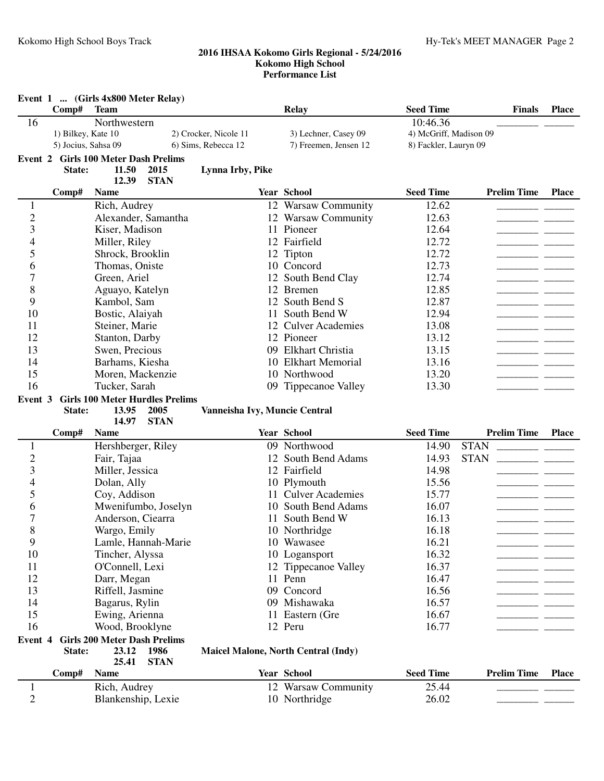|                   |                     | Event 1  (Girls 4x800 Meter Relay)   |                                        |                               |                                            |                        |                    |              |
|-------------------|---------------------|--------------------------------------|----------------------------------------|-------------------------------|--------------------------------------------|------------------------|--------------------|--------------|
|                   | Comp#               | <b>Team</b>                          |                                        |                               | <b>Relay</b>                               | <b>Seed Time</b>       | <b>Finals</b>      | <b>Place</b> |
| 16                |                     | Northwestern                         |                                        |                               |                                            | 10:46.36               |                    |              |
|                   | 1) Bilkey, Kate 10  |                                      |                                        | 2) Crocker, Nicole 11         | 3) Lechner, Casey 09                       | 4) McGriff, Madison 09 |                    |              |
|                   | 5) Jocius, Sahsa 09 |                                      |                                        | 6) Sims, Rebecca 12           | 7) Freemen, Jensen 12                      | 8) Fackler, Lauryn 09  |                    |              |
|                   |                     | Event 2 Girls 100 Meter Dash Prelims |                                        |                               |                                            |                        |                    |              |
|                   | State:              | 11.50                                | 2015                                   | Lynna Irby, Pike              |                                            |                        |                    |              |
|                   | Comp#               | 12.39<br><b>Name</b>                 | <b>STAN</b>                            |                               | Year School                                | <b>Seed Time</b>       | <b>Prelim Time</b> | <b>Place</b> |
| $\mathbf{1}$      |                     | Rich, Audrey                         |                                        |                               | 12 Warsaw Community                        | 12.62                  |                    |              |
| $\overline{c}$    |                     |                                      | Alexander, Samantha                    |                               | 12 Warsaw Community                        | 12.63                  |                    |              |
| 3                 |                     | Kiser, Madison                       |                                        |                               | 11 Pioneer                                 | 12.64                  |                    |              |
| 4                 |                     | Miller, Riley                        |                                        |                               | 12 Fairfield                               | 12.72                  |                    |              |
| 5                 |                     | Shrock, Brooklin                     |                                        |                               | 12 Tipton                                  | 12.72                  |                    |              |
| 6                 |                     | Thomas, Oniste                       |                                        |                               | 10 Concord                                 | 12.73                  |                    |              |
| 7                 |                     | Green, Ariel                         |                                        |                               | 12 South Bend Clay                         | 12.74                  |                    |              |
| 8                 |                     | Aguayo, Katelyn                      |                                        |                               | 12 Bremen                                  | 12.85                  |                    |              |
| 9                 |                     | Kambol, Sam                          |                                        |                               | 12 South Bend S                            | 12.87                  |                    |              |
| 10                |                     | Bostic, Alaiyah                      |                                        |                               | 11 South Bend W                            | 12.94                  |                    |              |
| 11                |                     | Steiner, Marie                       |                                        |                               | 12 Culver Academies                        | 13.08                  |                    |              |
| 12                |                     | Stanton, Darby                       |                                        |                               | 12 Pioneer                                 | 13.12                  |                    |              |
| 13                |                     | Swen, Precious                       |                                        |                               | 09 Elkhart Christia                        | 13.15                  |                    |              |
| 14                |                     | Barhams, Kiesha                      |                                        |                               | 10 Elkhart Memorial                        | 13.16                  |                    |              |
| 15                |                     | Moren, Mackenzie                     |                                        |                               | 10 Northwood                               | 13.20                  |                    |              |
| 16                |                     | Tucker, Sarah                        |                                        |                               | 09 Tippecanoe Valley                       | 13.30                  |                    |              |
| Event 3           |                     |                                      | <b>Girls 100 Meter Hurdles Prelims</b> |                               |                                            |                        |                    |              |
|                   | State:              | 13.95                                | 2005                                   | Vanneisha Ivy, Muncie Central |                                            |                        |                    |              |
|                   |                     | 14.97                                | <b>STAN</b>                            |                               |                                            |                        |                    |              |
|                   | Comp#               | <b>Name</b>                          |                                        |                               | Year School                                | <b>Seed Time</b>       | <b>Prelim Time</b> | <b>Place</b> |
| 1                 |                     | Hershberger, Riley                   |                                        |                               | 09 Northwood                               | 14.90                  | <b>STAN</b>        |              |
| $\overline{c}$    |                     | Fair, Tajaa                          |                                        |                               | 12 South Bend Adams                        | 14.93                  | <b>STAN</b>        |              |
| 3                 |                     | Miller, Jessica                      |                                        |                               | 12 Fairfield                               | 14.98                  |                    |              |
| 4                 |                     | Dolan, Ally                          |                                        |                               | 10 Plymouth                                | 15.56                  |                    |              |
| 5                 |                     | Coy, Addison                         |                                        |                               | 11 Culver Academies                        | 15.77                  |                    |              |
| 6                 |                     |                                      | Mwenifumbo, Joselyn                    |                               | 10 South Bend Adams                        | 16.07                  |                    |              |
| 7<br>$\mathbf{Q}$ |                     | Anderson, Ciearra                    |                                        |                               | 11 South Bend W                            | 16.13                  |                    |              |
| O                 |                     | Wargo, Emily                         |                                        |                               | 10 Northridge                              | 16.18                  |                    |              |
| 9                 |                     |                                      | Lamle, Hannah-Marie                    |                               | 10 Wawasee                                 | 16.21                  |                    |              |
| 10<br>11          |                     | Tincher, Alyssa                      |                                        |                               | 10 Logansport                              | 16.32<br>16.37         |                    |              |
| 12                |                     | O'Connell, Lexi<br>Darr, Megan       |                                        |                               | 12 Tippecanoe Valley<br>11 Penn            | 16.47                  |                    |              |
| 13                |                     | Riffell, Jasmine                     |                                        |                               | 09 Concord                                 | 16.56                  |                    |              |
| 14                |                     | Bagarus, Rylin                       |                                        |                               | 09 Mishawaka                               | 16.57                  |                    |              |
| 15                |                     | Ewing, Arienna                       |                                        |                               | 11 Eastern (Gre                            | 16.67                  |                    |              |
| 16                |                     | Wood, Brooklyne                      |                                        |                               | 12 Peru                                    | 16.77                  |                    |              |
|                   |                     | <b>Girls 200 Meter Dash Prelims</b>  |                                        |                               |                                            |                        |                    |              |
| Event 4           | State:              | 23.12<br>25.41                       | 1986<br><b>STAN</b>                    |                               | <b>Maicel Malone, North Central (Indy)</b> |                        |                    |              |
|                   | Comp#               | <b>Name</b>                          |                                        |                               | Year School                                | <b>Seed Time</b>       | <b>Prelim Time</b> | <b>Place</b> |
|                   |                     |                                      |                                        |                               |                                            |                        |                    |              |
| 1                 |                     |                                      |                                        |                               |                                            | 25.44                  |                    |              |
| $\overline{c}$    |                     | Rich, Audrey<br>Blankenship, Lexie   |                                        |                               | 12 Warsaw Community<br>10 Northridge       | 26.02                  |                    |              |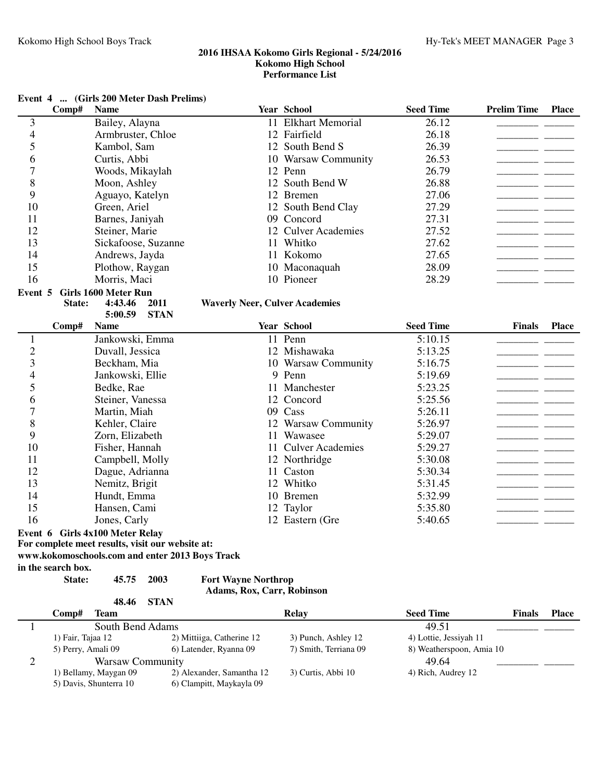|                |                    | Event 4  (Girls 200 Meter Dash Prelims)          |                                                 |                         |                          |                                |              |
|----------------|--------------------|--------------------------------------------------|-------------------------------------------------|-------------------------|--------------------------|--------------------------------|--------------|
|                | Comp#              | <b>Name</b>                                      |                                                 | <b>Year School</b>      | <b>Seed Time</b>         | <b>Prelim Time</b>             | <b>Place</b> |
| 3              |                    | Bailey, Alayna                                   |                                                 | 11 Elkhart Memorial     | 26.12                    |                                |              |
| $\overline{4}$ |                    | Armbruster, Chloe                                |                                                 | 12 Fairfield            | 26.18                    |                                |              |
| 5              |                    | Kambol, Sam                                      |                                                 | 12 South Bend S         | 26.39                    |                                |              |
| 6              |                    | Curtis, Abbi                                     |                                                 | 10 Warsaw Community     | 26.53                    |                                |              |
| 7              |                    | Woods, Mikaylah                                  |                                                 | 12 Penn                 | 26.79                    |                                |              |
| 8              |                    | Moon, Ashley                                     |                                                 | 12 South Bend W         | 26.88                    |                                |              |
| 9              |                    | Aguayo, Katelyn                                  |                                                 | 12 Bremen               | 27.06                    |                                |              |
| 10             |                    | Green, Ariel                                     |                                                 | 12 South Bend Clay      | 27.29                    |                                |              |
| 11             |                    | Barnes, Janiyah                                  |                                                 | 09 Concord              | 27.31                    | ---                            |              |
| 12             |                    | Steiner, Marie                                   |                                                 | 12 Culver Academies     | 27.52                    | <u> Liberatura de la conte</u> |              |
| 13             |                    | Sickafoose, Suzanne                              |                                                 | 11 Whitko               | 27.62                    | <u>— —</u>                     |              |
| 14             |                    | Andrews, Jayda                                   |                                                 | 11 Kokomo               | 27.65                    | - -                            |              |
| 15             |                    | Plothow, Raygan                                  |                                                 | 10 Maconaquah           | 28.09                    |                                |              |
| 16             |                    | Morris, Maci                                     |                                                 | 10 Pioneer              | 28.29                    |                                |              |
| Event 5        |                    | Girls 1600 Meter Run                             |                                                 |                         |                          |                                |              |
|                | State:             | 4:43.46                                          | 2011<br><b>Waverly Neer, Culver Academies</b>   |                         |                          |                                |              |
|                |                    | 5:00.59                                          | <b>STAN</b>                                     |                         |                          |                                |              |
|                | Comp#              | <b>Name</b>                                      |                                                 | <b>Year School</b>      | <b>Seed Time</b>         | <b>Finals</b>                  | <b>Place</b> |
| $\mathbf{1}$   |                    | Jankowski, Emma                                  |                                                 | 11 Penn                 | 5:10.15                  |                                |              |
| $\overline{2}$ |                    | Duvall, Jessica                                  |                                                 | 12 Mishawaka            | 5:13.25                  |                                |              |
| 3              |                    | Beckham, Mia                                     |                                                 | 10 Warsaw Community     | 5:16.75                  |                                |              |
| 4              |                    | Jankowski, Ellie                                 |                                                 | 9 Penn                  | 5:19.69                  |                                |              |
| 5              |                    | Bedke, Rae                                       |                                                 | 11 Manchester           | 5:23.25                  |                                |              |
| 6              |                    | Steiner, Vanessa                                 |                                                 | 12 Concord              | 5:25.56                  |                                |              |
| $\overline{7}$ |                    | Martin, Miah                                     |                                                 | 09 Cass                 | 5:26.11                  |                                |              |
| 8              |                    | Kehler, Claire                                   |                                                 | 12 Warsaw Community     | 5:26.97                  |                                |              |
| 9              |                    | Zorn, Elizabeth                                  | 11                                              | Wawasee                 | 5:29.07                  |                                |              |
| 10             |                    | Fisher, Hannah                                   | 11                                              | <b>Culver Academies</b> | 5:29.27                  |                                |              |
| 11             |                    | Campbell, Molly                                  |                                                 | 12 Northridge           | 5:30.08                  |                                |              |
| 12             |                    | Dague, Adrianna                                  |                                                 | 11 Caston               | 5:30.34                  |                                |              |
| 13             |                    | Nemitz, Brigit                                   |                                                 | 12 Whitko               | 5:31.45                  |                                |              |
| 14             |                    | Hundt, Emma                                      |                                                 | 10 Bremen               | 5:32.99                  |                                |              |
| 15             |                    | Hansen, Cami                                     |                                                 | 12 Taylor               | 5:35.80                  |                                |              |
| 16             |                    | Jones, Carly                                     |                                                 | 12 Eastern (Gre         | 5:40.65                  |                                |              |
|                |                    | Event 6 Girls 4x100 Meter Relay                  |                                                 |                         |                          |                                |              |
|                |                    | For complete meet results, visit our website at: |                                                 |                         |                          |                                |              |
|                |                    |                                                  | www.kokomoschools.com and enter 2013 Boys Track |                         |                          |                                |              |
|                | in the search box. |                                                  |                                                 |                         |                          |                                |              |
|                | State:             | 45.75                                            | 2003<br><b>Fort Wayne Northrop</b>              |                         |                          |                                |              |
|                |                    |                                                  | Adams, Rox, Carr, Robinson                      |                         |                          |                                |              |
|                |                    | 48.46                                            | <b>STAN</b>                                     |                         |                          |                                |              |
|                | Comp#              | <b>Team</b>                                      |                                                 | <b>Relay</b>            | <b>Seed Time</b>         | <b>Finals</b>                  | <b>Place</b> |
| 1              |                    | South Bend Adams                                 |                                                 |                         | 49.51                    |                                |              |
|                | 1) Fair, Tajaa 12  |                                                  | 2) Mittiiga, Catherine 12                       | 3) Punch, Ashley 12     | 4) Lottie, Jessiyah 11   |                                |              |
|                | 5) Perry, Amali 09 |                                                  | 6) Latender, Ryanna 09                          | 7) Smith, Terriana 09   | 8) Weatherspoon, Amia 10 |                                |              |
| $\overline{c}$ |                    | <b>Warsaw Community</b>                          |                                                 |                         | 49.64                    |                                |              |
|                |                    | 1) Bellamy, Maygan 09                            | 2) Alexander, Samantha 12                       | 3) Curtis, Abbi 10      | 4) Rich, Audrey 12       |                                |              |
|                |                    | 5) Davis, Shunterra 10                           | 6) Clampitt, Maykayla 09                        |                         |                          |                                |              |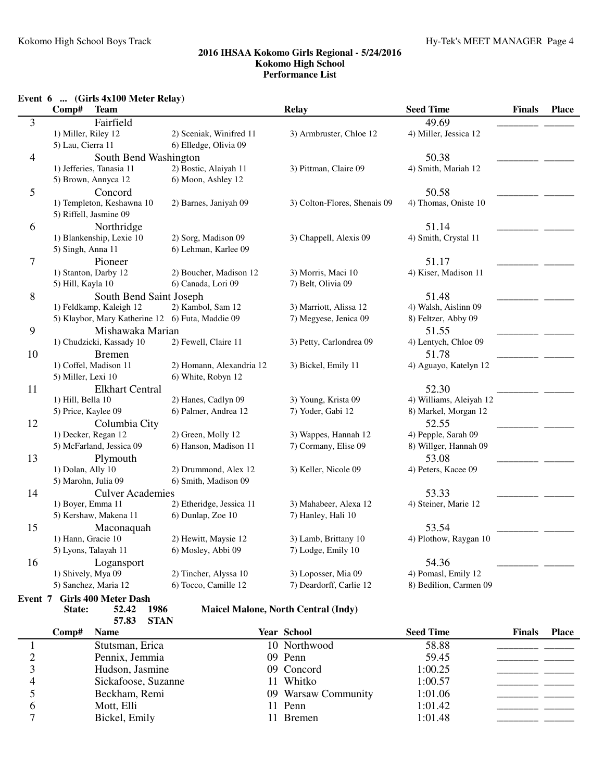## **Event 6 ... (Girls 4x100 Meter Relay)**

|         | Comp#<br><b>Team</b>                             |                          | <b>Relay</b>                 | <b>Seed Time</b>        | <b>Finals</b> | <b>Place</b> |
|---------|--------------------------------------------------|--------------------------|------------------------------|-------------------------|---------------|--------------|
| 3       | Fairfield                                        |                          |                              | 49.69                   |               |              |
|         | 1) Miller, Riley 12                              | 2) Sceniak, Winifred 11  | 3) Armbruster, Chloe 12      | 4) Miller, Jessica 12   |               |              |
|         | 5) Lau, Cierra 11                                | 6) Elledge, Olivia 09    |                              |                         |               |              |
| 4       | South Bend Washington                            |                          |                              | 50.38                   |               |              |
|         | 1) Jefferies, Tanasia 11                         | 2) Bostic, Alaiyah 11    | 3) Pittman, Claire 09        | 4) Smith, Mariah 12     |               |              |
|         | 5) Brown, Annyca 12                              | 6) Moon, Ashley 12       |                              |                         |               |              |
| 5       | Concord                                          |                          |                              | 50.58                   |               |              |
|         | 1) Templeton, Keshawna 10                        | 2) Barnes, Janiyah 09    | 3) Colton-Flores, Shenais 09 | 4) Thomas, Oniste 10    |               |              |
|         | 5) Riffell, Jasmine 09                           |                          |                              |                         |               |              |
| 6       | Northridge                                       |                          |                              | 51.14                   |               |              |
|         | 1) Blankenship, Lexie 10                         | 2) Sorg, Madison 09      | 3) Chappell, Alexis 09       | 4) Smith, Crystal 11    |               |              |
|         | 5) Singh, Anna 11                                | 6) Lehman, Karlee 09     |                              |                         |               |              |
| 7       | Pioneer                                          |                          |                              | 51.17                   |               |              |
|         | 1) Stanton, Darby 12                             | 2) Boucher, Madison 12   | 3) Morris, Maci 10           | 4) Kiser, Madison 11    |               |              |
|         | 5) Hill, Kayla 10                                | 6) Canada, Lori 09       | 7) Belt, Olivia 09           |                         |               |              |
| 8       | South Bend Saint Joseph                          |                          |                              | 51.48                   |               |              |
|         | 1) Feldkamp, Kaleigh 12                          | 2) Kambol, Sam 12        | 3) Marriott, Alissa 12       | 4) Walsh, Aislinn 09    |               |              |
|         | 5) Klaybor, Mary Katherine 12 6) Futa, Maddie 09 |                          | 7) Megyese, Jenica 09        | 8) Feltzer, Abby 09     |               |              |
| 9       | Mishawaka Marian                                 |                          |                              | 51.55                   |               |              |
|         | 1) Chudzicki, Kassady 10                         | 2) Fewell, Claire 11     | 3) Petty, Carlondrea 09      | 4) Lentych, Chloe 09    |               |              |
| 10      | <b>Bremen</b>                                    |                          |                              | 51.78                   |               |              |
|         | 1) Coffel, Madison 11                            | 2) Homann, Alexandria 12 | 3) Bickel, Emily 11          | 4) Aguayo, Katelyn 12   |               |              |
|         | 5) Miller, Lexi 10                               | 6) White, Robyn 12       |                              |                         |               |              |
| 11      | <b>Elkhart Central</b>                           |                          |                              | 52.30                   |               |              |
|         | 1) Hill, Bella 10                                | 2) Hanes, Cadlyn 09      | 3) Young, Krista 09          | 4) Williams, Aleiyah 12 |               |              |
|         | 5) Price, Kaylee 09                              | 6) Palmer, Andrea 12     | 7) Yoder, Gabi 12            | 8) Markel, Morgan 12    |               |              |
| 12      | Columbia City                                    |                          |                              | 52.55                   |               |              |
|         | 1) Decker, Regan 12                              | 2) Green, Molly 12       | 3) Wappes, Hannah 12         | 4) Pepple, Sarah 09     |               |              |
|         | 5) McFarland, Jessica 09                         | 6) Hanson, Madison 11    | 7) Cormany, Elise 09         | 8) Willger, Hannah 09   |               |              |
| 13      | Plymouth                                         |                          |                              | 53.08                   |               |              |
|         | 1) Dolan, Ally 10                                | 2) Drummond, Alex 12     | 3) Keller, Nicole 09         | 4) Peters, Kacee 09     |               |              |
|         | 5) Marohn, Julia 09                              | 6) Smith, Madison 09     |                              |                         |               |              |
| 14      | <b>Culver Academies</b>                          |                          |                              | 53.33                   |               |              |
|         | 1) Boyer, Emma 11                                | 2) Etheridge, Jessica 11 | 3) Mahabeer, Alexa 12        | 4) Steiner, Marie 12    |               |              |
|         | 5) Kershaw, Makena 11                            | 6) Dunlap, Zoe 10        | 7) Hanley, Hali 10           |                         |               |              |
| 15      | Maconaquah                                       |                          |                              | 53.54                   |               |              |
|         | 1) Hann, Gracie 10                               | 2) Hewitt, Maysie 12     | 3) Lamb, Brittany 10         | 4) Plothow, Raygan 10   |               |              |
|         | 5) Lyons, Talayah 11                             | 6) Mosley, Abbi 09       | 7) Lodge, Emily 10           |                         |               |              |
| 16      | Logansport                                       |                          |                              | 54.36                   |               |              |
|         | 1) Shively, Mya 09                               | 2) Tincher, Alyssa 10    | 3) Loposser, Mia 09          | 4) Pomasl, Emily 12     |               |              |
|         | 5) Sanchez, Maria 12                             | 6) Tocco, Camille 12     | 7) Deardorff, Carlie 12      | 8) Bedilion, Carmen 09  |               |              |
| Event 7 | <b>Girls 400 Meter Dash</b>                      |                          |                              |                         |               |              |

**57.83 STAN**

State: 52.42 1986 Maicel Malone, North Central (Indy)

| Comp# | <b>Name</b>         | <b>Year School</b>  | <b>Seed Time</b> | <b>Finals</b> | <b>Place</b> |
|-------|---------------------|---------------------|------------------|---------------|--------------|
|       | Stutsman, Erica     | 10 Northwood        | 58.88            |               |              |
|       | Pennix, Jemmia      | 09 Penn             | 59.45            |               |              |
|       | Hudson, Jasmine     | 09 Concord          | 1:00.25          |               |              |
|       | Sickafoose, Suzanne | 11 Whitko           | 1:00.57          |               |              |
|       | Beckham, Remi       | 09 Warsaw Community | 1:01.06          |               |              |
|       | Mott, Elli          | 11 Penn             | 1:01.42          |               |              |
|       | Bickel, Emily       | 1 Bremen            | 1:01.48          |               |              |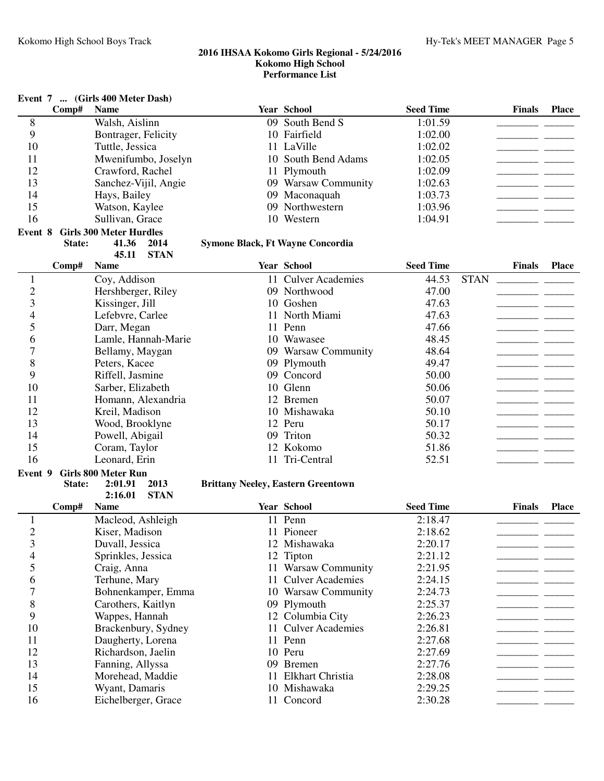|                |        | Event 7  (Girls 400 Meter Dash)       |                                           |                     |                  |             |               |              |
|----------------|--------|---------------------------------------|-------------------------------------------|---------------------|------------------|-------------|---------------|--------------|
|                | Comp#  | <b>Name</b>                           |                                           | <b>Year School</b>  | <b>Seed Time</b> |             | <b>Finals</b> | <b>Place</b> |
| 8              |        | Walsh, Aislinn                        |                                           | 09 South Bend S     | 1:01.59          |             |               |              |
| 9              |        | Bontrager, Felicity                   |                                           | 10 Fairfield        | 1:02.00          |             |               |              |
| 10             |        | Tuttle, Jessica                       |                                           | 11 LaVille          | 1:02.02          |             |               |              |
| 11             |        | Mwenifumbo, Joselyn                   |                                           | 10 South Bend Adams | 1:02.05          |             |               |              |
| 12             |        | Crawford, Rachel                      |                                           | 11 Plymouth         | 1:02.09          |             |               |              |
| 13             |        | Sanchez-Vijil, Angie                  |                                           | 09 Warsaw Community | 1:02.63          |             |               |              |
| 14             |        | Hays, Bailey                          |                                           | 09 Maconaquah       | 1:03.73          |             |               |              |
| 15             |        | Watson, Kaylee                        |                                           | 09 Northwestern     | 1:03.96          |             |               |              |
| 16             |        | Sullivan, Grace                       |                                           | 10 Western          | 1:04.91          |             |               |              |
| Event 8        |        | <b>Girls 300 Meter Hurdles</b>        |                                           |                     |                  |             |               |              |
|                | State: | 41.36<br>2014<br><b>STAN</b><br>45.11 | Symone Black, Ft Wayne Concordia          |                     |                  |             |               |              |
|                | Comp#  | <b>Name</b>                           |                                           | Year School         | <b>Seed Time</b> |             | <b>Finals</b> | <b>Place</b> |
| $\mathbf{1}$   |        | Coy, Addison                          |                                           | 11 Culver Academies | 44.53            | <b>STAN</b> |               |              |
| $\overline{c}$ |        | Hershberger, Riley                    |                                           | 09 Northwood        | 47.00            |             |               |              |
| 3              |        | Kissinger, Jill                       |                                           | 10 Goshen           | 47.63            |             |               |              |
| 4              |        | Lefebvre, Carlee                      |                                           | 11 North Miami      | 47.63            |             |               |              |
| 5              |        | Darr, Megan                           |                                           | 11 Penn             | 47.66            |             |               |              |
| 6              |        | Lamle, Hannah-Marie                   |                                           | 10 Wawasee          | 48.45            |             |               |              |
| 7              |        | Bellamy, Maygan                       |                                           | 09 Warsaw Community | 48.64            |             |               |              |
| 8              |        | Peters, Kacee                         |                                           | 09 Plymouth         | 49.47            |             |               |              |
| 9              |        | Riffell, Jasmine                      |                                           | 09 Concord          | 50.00            |             |               |              |
| 10             |        | Sarber, Elizabeth                     |                                           | 10 Glenn            | 50.06            |             |               |              |
| 11             |        | Homann, Alexandria                    |                                           | 12 Bremen           | 50.07            |             |               |              |
| 12             |        | Kreil, Madison                        |                                           | 10 Mishawaka        | 50.10            |             |               |              |
| 13             |        | Wood, Brooklyne                       |                                           | 12 Peru             | 50.17            |             |               |              |
| 14             |        | Powell, Abigail                       |                                           | 09 Triton           | 50.32            |             |               |              |
| 15             |        | Coram, Taylor                         |                                           | 12 Kokomo           | 51.86            |             |               |              |
| 16             |        | Leonard, Erin                         |                                           | 11 Tri-Central      | 52.51            |             |               |              |
| Event 9        | State: | <b>Girls 800 Meter Run</b><br>2013    |                                           |                     |                  |             |               |              |
|                |        | 2:01.91<br><b>STAN</b><br>2:16.01     | <b>Brittany Neeley, Eastern Greentown</b> |                     |                  |             |               |              |
|                | Comp#  | <b>Name</b>                           |                                           | Year School         | <b>Seed Time</b> |             | <b>Finals</b> | <b>Place</b> |
| 1              |        | Macleod, Ashleigh                     |                                           | 11 Penn             | 2:18.47          |             |               |              |
| $\overline{c}$ |        | Kiser, Madison                        |                                           | 11 Pioneer          | 2:18.62          |             |               |              |
| 3              |        | Duvall, Jessica                       |                                           | 12 Mishawaka        | 2:20.17          |             |               |              |
| 4              |        | Sprinkles, Jessica                    |                                           | 12 Tipton           | 2:21.12          |             |               |              |
| 5              |        | Craig, Anna                           |                                           | 11 Warsaw Community | 2:21.95          |             |               |              |
| 6              |        | Terhune, Mary                         |                                           | 11 Culver Academies | 2:24.15          |             |               |              |
| 7              |        | Bohnenkamper, Emma                    |                                           | 10 Warsaw Community | 2:24.73          |             |               |              |
| 8              |        | Carothers, Kaitlyn                    |                                           | 09 Plymouth         | 2:25.37          |             |               |              |
| 9              |        | Wappes, Hannah                        |                                           | 12 Columbia City    | 2:26.23          |             |               |              |
| 10             |        | Brackenbury, Sydney                   |                                           | 11 Culver Academies | 2:26.81          |             |               |              |
| 11             |        | Daugherty, Lorena                     |                                           | 11 Penn             | 2:27.68          |             |               |              |
| 12             |        | Richardson, Jaelin                    |                                           | 10 Peru             | 2:27.69          |             |               |              |
| 13             |        | Fanning, Allyssa                      |                                           | 09 Bremen           | 2:27.76          |             |               |              |
| 14             |        | Morehead, Maddie                      |                                           | 11 Elkhart Christia | 2:28.08          |             |               |              |
| 15             |        | Wyant, Damaris                        |                                           | 10 Mishawaka        | 2:29.25          |             |               |              |
| 16             |        | Eichelberger, Grace                   |                                           | 11 Concord          | 2:30.28          |             |               |              |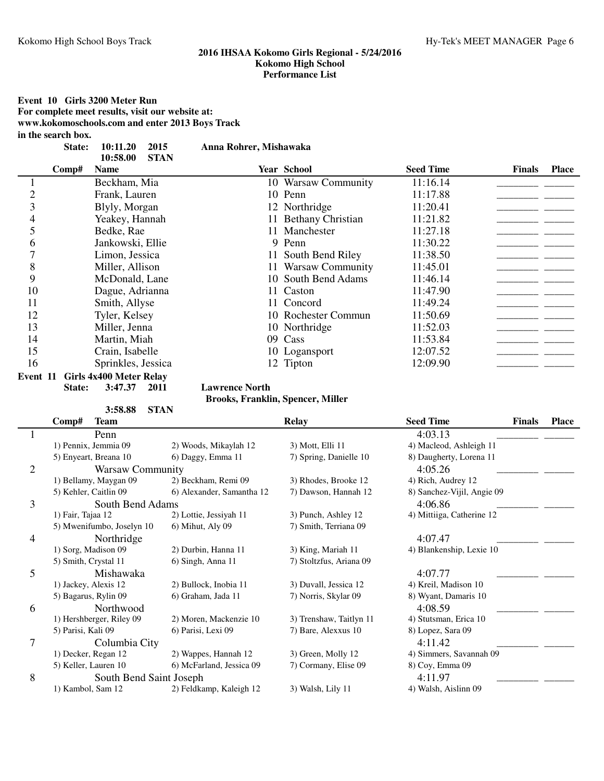**Event 10 Girls 3200 Meter Run For complete meet results, visit our website at: www.kokomoschools.com and enter 2013 Boys Track**

**in the search box.**

| State: 10:11.20 2015 | Anna Rohrer, Mishawaka |
|----------------------|------------------------|
|                      |                        |

|    |       | <b>STAN</b><br>10:58.00 |                      |                  |               |              |
|----|-------|-------------------------|----------------------|------------------|---------------|--------------|
|    | Comp# | <b>Name</b>             | <b>Year School</b>   | <b>Seed Time</b> | <b>Finals</b> | <b>Place</b> |
|    |       | Beckham, Mia            | 10 Warsaw Community  | 11:16.14         |               |              |
|    |       | Frank, Lauren           | 10 Penn              | 11:17.88         |               |              |
|    |       | Blyly, Morgan           | 12 Northridge        | 11:20.41         |               |              |
| 4  |       | Yeakey, Hannah          | 11 Bethany Christian | 11:21.82         |               |              |
|    |       | Bedke, Rae              | 11 Manchester        | 11:27.18         |               |              |
| h  |       | Jankowski, Ellie        | 9 Penn               | 11:30.22         |               |              |
|    |       | Limon, Jessica          | 11 South Bend Riley  | 11:38.50         |               |              |
| 8  |       | Miller, Allison         | 11 Warsaw Community  | 11:45.01         |               |              |
| 9  |       | McDonald, Lane          | 10 South Bend Adams  | 11:46.14         |               |              |
| 10 |       | Dague, Adrianna         | 11 Caston            | 11:47.90         |               |              |
| 11 |       | Smith, Allyse           | 11 Concord           | 11:49.24         |               |              |
| 12 |       | Tyler, Kelsey           | 10 Rochester Commun  | 11:50.69         |               |              |
| 13 |       | Miller, Jenna           | 10 Northridge        | 11:52.03         |               |              |
| 14 |       | Martin, Miah            | 09 Cass              | 11:53.84         |               |              |
| 15 |       | Crain, Isabelle         | 10 Logansport        | 12:07.52         |               |              |
| 16 |       | Sprinkles, Jessica      | 12 Tipton            | 12:09.90         |               |              |

**Event 11 Girls 4x400 Meter Relay**<br>**State:** 3:47.37 2011

**Lawrence North** 

**Brooks, Franklin, Spencer, Miller**

|                | 3:58.88                   | <b>STAN</b>               |                         |                            |               |              |
|----------------|---------------------------|---------------------------|-------------------------|----------------------------|---------------|--------------|
|                | Comp#<br><b>Team</b>      |                           | <b>Relay</b>            | <b>Seed Time</b>           | <b>Finals</b> | <b>Place</b> |
|                | Penn                      |                           |                         | 4:03.13                    |               |              |
|                | 1) Pennix, Jemmia 09      | 2) Woods, Mikaylah 12     | 3) Mott, Elli 11        | 4) Macleod, Ashleigh 11    |               |              |
|                | 5) Enyeart, Breana 10     | 6) Daggy, Emma 11         | 7) Spring, Danielle 10  | 8) Daugherty, Lorena 11    |               |              |
| $\overline{2}$ | <b>Warsaw Community</b>   |                           |                         | 4:05.26                    |               |              |
|                | 1) Bellamy, Maygan 09     | 2) Beckham, Remi 09       | 3) Rhodes, Brooke 12    | 4) Rich, Audrey 12         |               |              |
|                | 5) Kehler, Caitlin 09     | 6) Alexander, Samantha 12 | 7) Dawson, Hannah 12    | 8) Sanchez-Vijil, Angie 09 |               |              |
| 3              | South Bend Adams          |                           |                         | 4:06.86                    |               |              |
|                | 1) Fair, Tajaa 12         | 2) Lottie, Jessiyah 11    | 3) Punch, Ashley 12     | 4) Mittiiga, Catherine 12  |               |              |
|                | 5) Mwenifumbo, Joselyn 10 | 6) Mihut, Aly 09          | 7) Smith, Terriana 09   |                            |               |              |
| 4              | Northridge                |                           |                         | 4:07.47                    |               |              |
|                | 1) Sorg, Madison 09       | 2) Durbin, Hanna 11       | 3) King, Mariah 11      | 4) Blankenship, Lexie 10   |               |              |
|                | 5) Smith, Crystal 11      | 6) Singh, Anna 11         | 7) Stoltzfus, Ariana 09 |                            |               |              |
| 5              | Mishawaka                 |                           |                         | 4:07.77                    |               |              |
|                | 1) Jackey, Alexis 12      | 2) Bullock, Inobia 11     | 3) Duvall, Jessica 12   | 4) Kreil, Madison 10       |               |              |
|                | 5) Bagarus, Rylin 09      | 6) Graham, Jada 11        | 7) Norris, Skylar 09    | 8) Wyant, Damaris 10       |               |              |
| 6              | Northwood                 |                           |                         | 4:08.59                    |               |              |
|                | 1) Hershberger, Riley 09  | 2) Moren, Mackenzie 10    | 3) Trenshaw, Taitlyn 11 | 4) Stutsman, Erica 10      |               |              |
|                | 5) Parisi, Kali 09        | 6) Parisi, Lexi 09        | 7) Bare, Alexxus 10     | 8) Lopez, Sara 09          |               |              |
| 7              | Columbia City             |                           |                         | 4:11.42                    |               |              |
|                | 1) Decker, Regan 12       | 2) Wappes, Hannah 12      | 3) Green, Molly 12      | 4) Simmers, Savannah 09    |               |              |
|                | 5) Keller, Lauren 10      | 6) McFarland, Jessica 09  | 7) Cormany, Elise 09    | 8) Coy, Emma 09            |               |              |
| 8              | South Bend Saint Joseph   |                           |                         | 4:11.97                    |               |              |
|                | 1) Kambol, Sam 12         | 2) Feldkamp, Kaleigh 12   | 3) Walsh, Lily 11       | 4) Walsh, Aislinn 09       |               |              |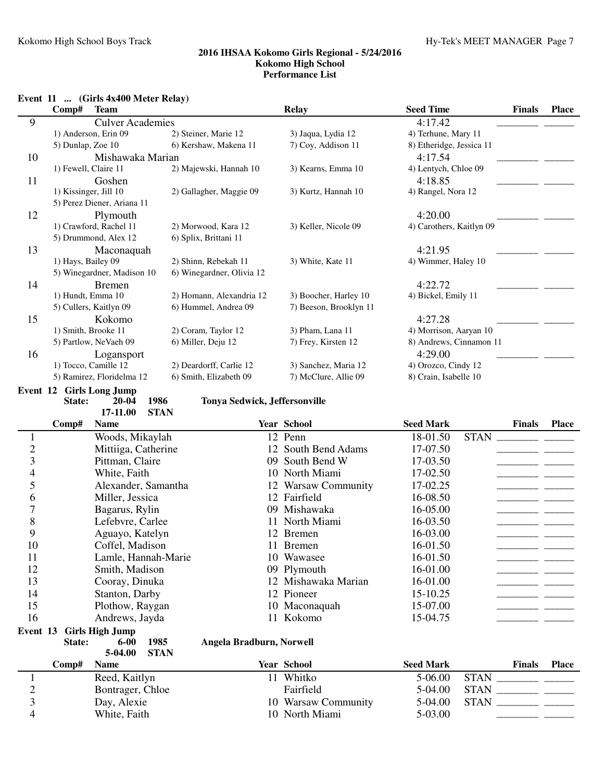# **Event 11 ... (Girls 4x400 Meter Relay)**

|                | $\ldots$ (OHE TATUO MUUL INGRESS)<br>Comp#<br><b>Team</b> |                               | <b>Relay</b>                          | <b>Seed Time</b>         | <b>Finals</b> | <b>Place</b> |
|----------------|-----------------------------------------------------------|-------------------------------|---------------------------------------|--------------------------|---------------|--------------|
| 9              | <b>Culver Academies</b>                                   |                               |                                       | 4:17.42                  |               |              |
|                | 1) Anderson, Erin 09                                      | 2) Steiner, Marie 12          | 3) Jaqua, Lydia 12                    | 4) Terhune, Mary 11      |               |              |
|                | 5) Dunlap, Zoe 10                                         | 6) Kershaw, Makena 11         | 7) Coy, Addison 11                    | 8) Etheridge, Jessica 11 |               |              |
| 10             | Mishawaka Marian                                          |                               |                                       | 4:17.54                  |               |              |
|                | 1) Fewell, Claire 11                                      | 2) Majewski, Hannah 10        | 3) Kearns, Emma 10                    | 4) Lentych, Chloe 09     |               |              |
| 11             | Goshen                                                    |                               |                                       | 4:18.85                  |               |              |
|                | 1) Kissinger, Jill 10                                     | 2) Gallagher, Maggie 09       | 3) Kurtz, Hannah 10                   | 4) Rangel, Nora 12       |               |              |
|                | 5) Perez Diener, Ariana 11                                |                               |                                       |                          |               |              |
| 12             | Plymouth                                                  |                               |                                       | 4:20.00                  |               |              |
|                | 1) Crawford, Rachel 11                                    | 2) Morwood, Kara 12           | 3) Keller, Nicole 09                  | 4) Carothers, Kaitlyn 09 |               |              |
|                | 5) Drummond, Alex 12                                      | 6) Splix, Brittani 11         |                                       |                          |               |              |
| 13             | Maconaquah                                                |                               |                                       | 4:21.95                  |               |              |
|                | 1) Hays, Bailey 09                                        | 2) Shinn, Rebekah 11          | 3) White, Kate 11                     | 4) Wimmer, Haley 10      |               |              |
|                | 5) Winegardner, Madison 10                                | 6) Winegardner, Olivia 12     |                                       |                          |               |              |
| 14             | <b>Bremen</b>                                             |                               |                                       | 4:22.72                  |               |              |
|                | 1) Hundt, Emma 10                                         | 2) Homann, Alexandria 12      | 3) Boocher, Harley 10                 | 4) Bickel, Emily 11      |               |              |
|                | 5) Cullers, Kaitlyn 09                                    | 6) Hummel, Andrea 09          | 7) Beeson, Brooklyn 11                |                          |               |              |
| 15             | Kokomo                                                    |                               |                                       | 4:27.28                  |               |              |
|                | 1) Smith, Brooke 11                                       | 2) Coram, Taylor 12           | 3) Pham, Lana 11                      | 4) Morrison, Aaryan 10   |               |              |
|                | 5) Partlow, NeVaeh 09                                     | 6) Miller, Deju 12            | 7) Frey, Kirsten 12                   | 8) Andrews, Cinnamon 11  |               |              |
| 16             | Logansport                                                |                               |                                       | 4:29.00                  |               |              |
|                | 1) Tocco, Camille 12                                      | 2) Deardorff, Carlie 12       | 3) Sanchez, Maria 12                  | 4) Orozco, Cindy 12      |               |              |
|                | 5) Ramirez, Floridelma 12                                 | 6) Smith, Elizabeth 09        | 7) McClure, Allie 09                  | 8) Crain, Isabelle 10    |               |              |
|                | <b>Event 12 Girls Long Jump</b>                           |                               |                                       |                          |               |              |
|                | State:<br>1986<br>$20 - 04$                               | Tonya Sedwick, Jeffersonville |                                       |                          |               |              |
|                | <b>STAN</b><br>17-11.00<br>Comp#<br><b>Name</b>           |                               | Year School                           |                          |               |              |
|                |                                                           |                               |                                       |                          | <b>Finals</b> | <b>Place</b> |
|                |                                                           |                               |                                       | <b>Seed Mark</b>         |               |              |
| $\mathbf{1}$   | Woods, Mikaylah                                           |                               | 12 Penn                               | <b>STAN</b><br>18-01.50  |               |              |
| $\overline{c}$ | Mittiiga, Catherine                                       |                               | 12 South Bend Adams                   | 17-07.50                 |               |              |
| 3              | Pittman, Claire                                           |                               | 09 South Bend W                       | 17-03.50                 |               |              |
| $\overline{4}$ | White, Faith                                              |                               | 10 North Miami                        | 17-02.50                 |               |              |
| 5              | Alexander, Samantha                                       |                               | 12 Warsaw Community                   | 17-02.25                 |               |              |
| 6              | Miller, Jessica                                           |                               | 12 Fairfield                          | 16-08.50                 |               |              |
| 7              | Bagarus, Rylin                                            |                               | 09 Mishawaka                          | 16-05.00                 |               |              |
| 8              | Lefebvre, Carlee                                          |                               | 11 North Miami                        | 16-03.50                 |               |              |
| 9              | Aguayo, Katelyn                                           |                               | 12 Bremen                             | 16-03.00                 |               |              |
| 10             | Coffel, Madison                                           |                               | 11 Bremen                             | 16-01.50                 |               |              |
| 11             | Lamle, Hannah-Marie                                       |                               | 10 Wawasee                            | 16-01.50                 |               |              |
| 12             | Smith, Madison                                            |                               | 09 Plymouth                           | 16-01.00                 |               |              |
| 13             | Cooray, Dinuka                                            |                               | 12 Mishawaka Marian                   | 16-01.00                 |               |              |
| 14             | Stanton, Darby                                            |                               | 12 Pioneer                            | 15-10.25                 |               |              |
| 15             | Plothow, Raygan                                           |                               | 10 Maconaquah                         | 15-07.00                 |               |              |
| 16             | Andrews, Jayda                                            |                               | 11 Kokomo                             | 15-04.75                 |               |              |
| Event 13       | <b>Girls High Jump</b>                                    |                               |                                       |                          |               |              |
|                | 1985<br>State:<br>$6 - 00$                                | Angela Bradburn, Norwell      |                                       |                          |               |              |
|                | 5-04.00<br><b>STAN</b>                                    |                               |                                       |                          |               |              |
|                | Comp#<br><b>Name</b>                                      |                               | Year School                           | <b>Seed Mark</b>         | Finals        | <b>Place</b> |
| $\mathbf{1}$   | Reed, Kaitlyn                                             |                               | 11 Whitko                             | 5-06.00                  |               |              |
| $\overline{c}$ | Bontrager, Chloe                                          |                               | Fairfield                             | 5-04.00                  | $STAN$        |              |
| 3<br>4         | Day, Alexie<br>White, Faith                               |                               | 10 Warsaw Community<br>10 North Miami | 5-04.00<br>5-03.00       |               |              |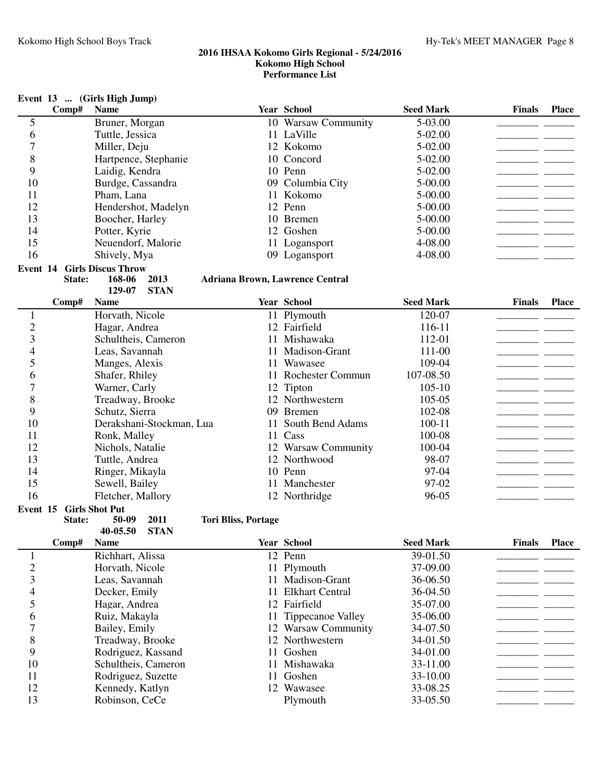|                |        | Event 13  (Girls High Jump)        |             |                                        | <b>Year School</b>       |                  |               |              |
|----------------|--------|------------------------------------|-------------|----------------------------------------|--------------------------|------------------|---------------|--------------|
|                | Comp#  | <b>Name</b>                        |             |                                        |                          | <b>Seed Mark</b> | <b>Finals</b> | <b>Place</b> |
| 5              |        | Bruner, Morgan                     |             |                                        | 10 Warsaw Community      | 5-03.00          |               |              |
| 6              |        | Tuttle, Jessica                    |             |                                        | 11 LaVille               | 5-02.00          |               |              |
| 7              |        | Miller, Deju                       |             |                                        | 12 Kokomo                | 5-02.00          |               |              |
| 8              |        | Hartpence, Stephanie               |             |                                        | 10 Concord               | 5-02.00          |               |              |
| 9              |        | Laidig, Kendra                     |             |                                        | 10 Penn                  | 5-02.00          |               |              |
| 10             |        | Burdge, Cassandra                  |             |                                        | 09 Columbia City         | 5-00.00          |               |              |
| 11             |        | Pham, Lana                         |             |                                        | 11 Kokomo                | 5-00.00          |               |              |
| 12             |        | Hendershot, Madelyn                |             |                                        | 12 Penn                  | 5-00.00          |               |              |
| 13             |        | Boocher, Harley                    |             |                                        | 10 Bremen                | 5-00.00          |               |              |
| 14             |        | Potter, Kyrie                      |             |                                        | 12 Goshen                | 5-00.00          |               |              |
| 15             |        | Neuendorf, Malorie                 |             |                                        | 11 Logansport            | 4-08.00          |               |              |
| 16             |        | Shively, Mya                       |             |                                        | 09 Logansport            | 4-08.00          |               |              |
|                |        | <b>Event 14 Girls Discus Throw</b> |             |                                        |                          |                  |               |              |
|                | State: | 168-06                             | 2013        | <b>Adriana Brown, Lawrence Central</b> |                          |                  |               |              |
|                |        | 129-07                             | <b>STAN</b> |                                        |                          |                  |               |              |
|                | Comp#  | <b>Name</b>                        |             |                                        | <b>Year School</b>       | <b>Seed Mark</b> | <b>Finals</b> | <b>Place</b> |
| $\mathbf{1}$   |        | Horvath, Nicole                    |             |                                        | 11 Plymouth              | 120-07           |               |              |
| $\overline{c}$ |        | Hagar, Andrea                      |             |                                        | 12 Fairfield             | 116-11           |               |              |
| 3              |        | Schultheis, Cameron                |             |                                        | 11 Mishawaka             | 112-01           |               |              |
| 4              |        | Leas, Savannah                     |             |                                        | 11 Madison-Grant         | 111-00           |               |              |
| 5              |        | Manges, Alexis                     |             |                                        | 11 Wawasee               | 109-04           |               |              |
| 6              |        | Shafer, Rhiley                     |             |                                        | 11 Rochester Commun      | 107-08.50        |               |              |
| 7              |        | Warner, Carly                      |             |                                        | 12 Tipton                | $105 - 10$       |               |              |
| 8              |        | Treadway, Brooke                   |             |                                        | 12 Northwestern          | 105-05           |               |              |
| 9              |        | Schutz, Sierra                     |             |                                        | 09 Bremen                | 102-08           |               |              |
| 10             |        | Derakshani-Stockman, Lua           |             | 11                                     | South Bend Adams         | 100-11           |               |              |
| 11             |        | Ronk, Malley                       |             |                                        | 11 Cass                  | 100-08           |               |              |
| 12             |        | Nichols, Natalie                   |             |                                        | 12 Warsaw Community      | 100-04           |               |              |
| 13             |        | Tuttle, Andrea                     |             |                                        | 12 Northwood             | 98-07            |               |              |
| 14             |        | Ringer, Mikayla                    |             |                                        | 10 Penn                  | 97-04            |               |              |
| 15             |        | Sewell, Bailey                     |             |                                        | 11 Manchester            | 97-02            |               |              |
| 16             |        | Fletcher, Mallory                  |             |                                        | 12 Northridge            | 96-05            |               |              |
| Event 15       |        | <b>Girls Shot Put</b>              |             |                                        |                          |                  |               |              |
|                | State: | 50-09                              | 2011        | <b>Tori Bliss, Portage</b>             |                          |                  |               |              |
|                |        | 40-05.50                           | <b>STAN</b> |                                        |                          |                  |               |              |
|                | Comp#  | <b>Name</b>                        |             |                                        | Year School              | <b>Seed Mark</b> | <b>Finals</b> | <b>Place</b> |
| 1              |        | Richhart, Alissa                   |             |                                        | 12 Penn                  | 39-01.50         |               |              |
| $\overline{c}$ |        | Horvath, Nicole                    |             |                                        | 11 Plymouth              | 37-09.00         |               |              |
| 3              |        | Leas, Savannah                     |             |                                        | 11 Madison-Grant         | 36-06.50         |               |              |
| 4              |        | Decker, Emily                      |             | 11                                     | <b>Elkhart Central</b>   | 36-04.50         |               |              |
| 5              |        | Hagar, Andrea                      |             |                                        | 12 Fairfield             | 35-07.00         |               |              |
| 6              |        | Ruiz, Makayla                      |             | 11                                     | <b>Tippecanoe Valley</b> | 35-06.00         |               |              |
| 7              |        | Bailey, Emily                      |             |                                        | 12 Warsaw Community      | 34-07.50         |               |              |
| 8              |        | Treadway, Brooke                   |             |                                        | 12 Northwestern          | 34-01.50         |               |              |
| 9              |        | Rodriguez, Kassand                 |             |                                        | 11 Goshen                | 34-01.00         |               |              |
| 10             |        | Schultheis, Cameron                |             |                                        | 11 Mishawaka             | 33-11.00         |               |              |
| 11             |        | Rodriguez, Suzette                 |             |                                        | 11 Goshen                | 33-10.00         |               |              |
| 12             |        | Kennedy, Katlyn                    |             |                                        | 12 Wawasee               | 33-08.25         |               |              |
| 13             |        | Robinson, CeCe                     |             |                                        | Plymouth                 | 33-05.50         |               |              |